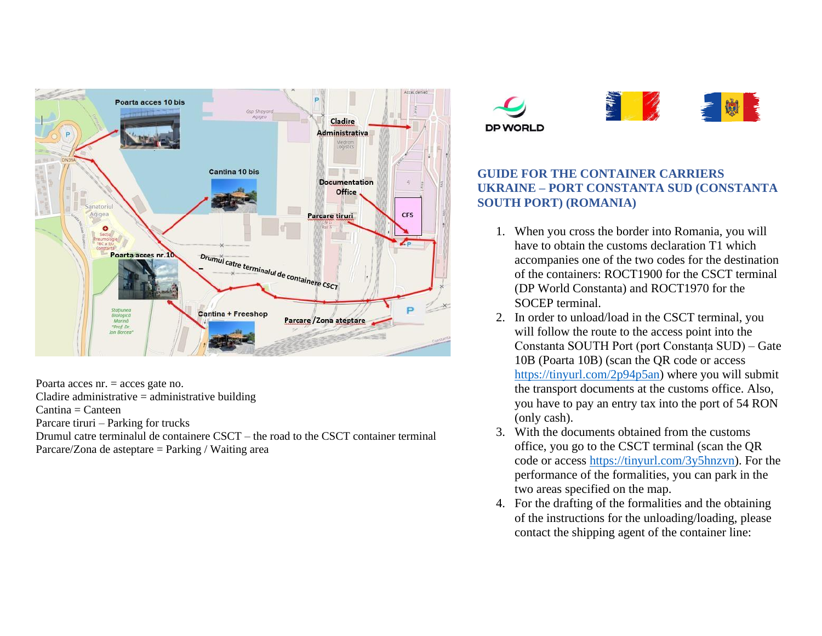

Poarta acces nr. = acces gate no.  $C$ ladire administrative  $=$  administrative building  $Cantina = Canteen$ Parcare tiruri – Parking for trucks Drumul catre terminalul de containere CSCT – the road to the CSCT container terminal Parcare/Zona de asteptare = Parking / Waiting area





## **GUIDE FOR THE CONTAINER CARRIERS UKRAINE – PORT CONSTANTA SUD (CONSTANTA SOUTH PORT) (ROMANIA)**

- 1. When you cross the border into Romania, you will have to obtain the customs declaration T1 which accompanies one of the two codes for the destination of the containers: ROCT1900 for the CSCT terminal (DP World Constanta) and ROCT1970 for the SOCEP terminal.
- 2. In order to unload/load in the CSCT terminal, you will follow the route to the access point into the Constanta SOUTH Port (port Constanța SUD) – Gate 10B (Poarta 10B) (scan the QR code or access [https://tinyurl.com/2p94p5an\)](https://tinyurl.com/2p94p5an) where you will submit the transport documents at the customs office. Also, you have to pay an entry tax into the port of 54 RON (only cash).
- 3. With the documents obtained from the customs office, you go to the CSCT terminal (scan the QR code or access [https://tinyurl.com/3y5hnzvn\)](https://tinyurl.com/3y5hnzvn). For the performance of the formalities, you can park in the two areas specified on the map.
- 4. For the drafting of the formalities and the obtaining of the instructions for the unloading/loading, please contact the shipping agent of the container line: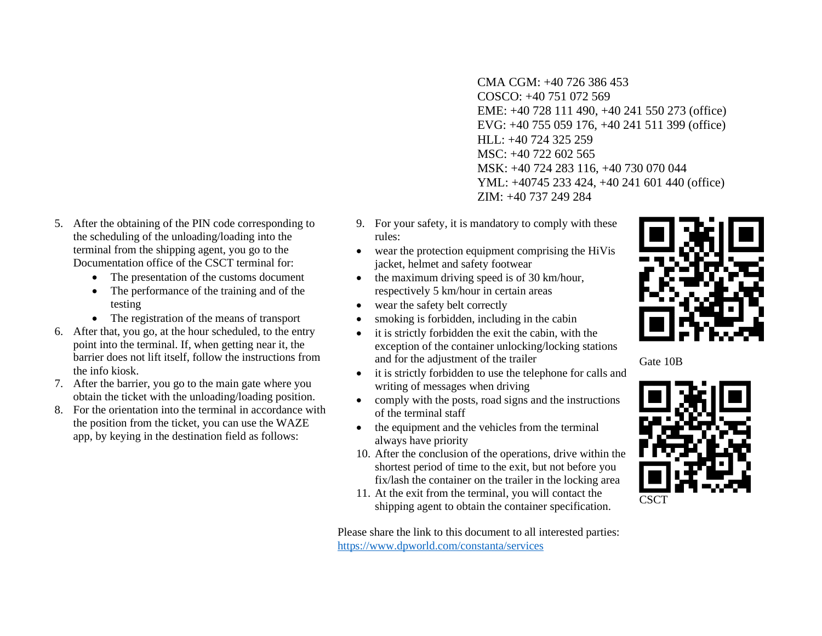- CMA CGM: +40 726 386 453 COSCO: +40 751 072 569 EME: +40 728 111 490, +40 241 550 273 (office) EVG: +40 755 059 176, +40 241 511 399 (office) HLL: +40 724 325 259 MSC: +40 722 602 565 MSK: +40 724 283 116, +40 730 070 044 YML: +40745 233 424, +40 241 601 440 (office) ZIM: +40 737 249 284
- 9. For your safety, it is mandatory to comply with these rules:
- wear the protection equipment comprising the HiVis jacket, helmet and safety footwear
- the maximum driving speed is of 30 km/hour, respectively 5 km/hour in certain areas
- wear the safety belt correctly
- smoking is forbidden, including in the cabin
- it is strictly forbidden the exit the cabin, with the exception of the container unlocking/locking stations and for the adjustment of the trailer
- it is strictly forbidden to use the telephone for calls and writing of messages when driving
- comply with the posts, road signs and the instructions of the terminal staff
- the equipment and the vehicles from the terminal always have priority
- 10. After the conclusion of the operations, drive within the shortest period of time to the exit, but not before you fix/lash the container on the trailer in the locking area
- 11. At the exit from the terminal, you will contact the shipping agent to obtain the container specification.

Please share the link to this document to all interested parties: <https://www.dpworld.com/constanta/services>



Gate 10B



- 5. After the obtaining of the PIN code corresponding to the scheduling of the unloading/loading into the terminal from the shipping agent, you go to the Documentation office of the CSCT terminal for:
	- The presentation of the customs document
	- The performance of the training and of the testing
	- The registration of the means of transport
- 6. After that, you go, at the hour scheduled, to the entry point into the terminal. If, when getting near it, the barrier does not lift itself, follow the instructions from the info kiosk.
- 7. After the barrier, you go to the main gate where you obtain the ticket with the unloading/loading position.
- 8. For the orientation into the terminal in accordance with the position from the ticket, you can use the WAZE app, by keying in the destination field as follows: